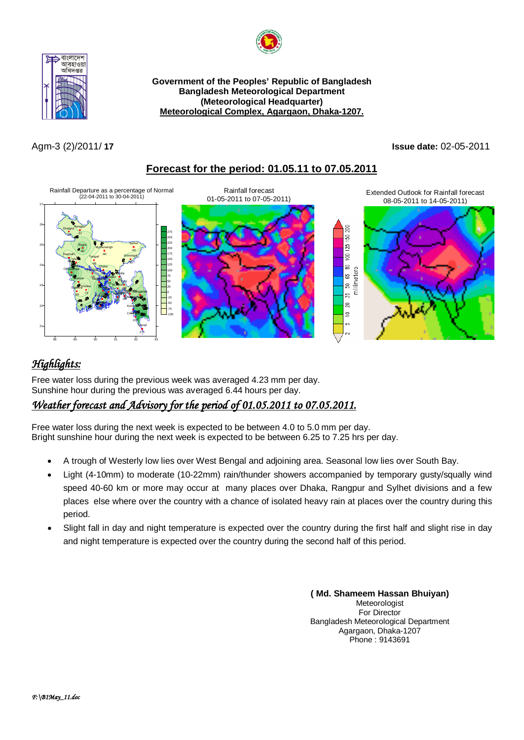



**Government of the Peoples' Republic of Bangladesh Bangladesh Meteorological Department (Meteorological Headquarter) Meteorological Complex, Agargaon, Dhaka-1207.**

## Agm-3 (2)/2011/ **17 Issue date:** 02-05-2011





# *Highlights:*

Free water loss during the previous week was averaged 4.23 mm per day. Sunshine hour during the previous was averaged 6.44 hours per day.

# *Weather forecast and Advisory for the period of 01.05.2011 to 07.05.2011.*

Free water loss during the next week is expected to be between 4.0 to 5.0 mm per day. Bright sunshine hour during the next week is expected to be between 6.25 to 7.25 hrs per day.

- A trough of Westerly low lies over West Bengal and adjoining area. Seasonal low lies over South Bay.
- Light (4-10mm) to moderate (10-22mm) rain/thunder showers accompanied by temporary gusty/squally wind speed 40-60 km or more may occur at many places over Dhaka, Rangpur and Sylhet divisions and a few places else where over the country with a chance of isolated heavy rain at places over the country during this period.
- Slight fall in day and night temperature is expected over the country during the first half and slight rise in day and night temperature is expected over the country during the second half of this period.

**( Md. Shameem Hassan Bhuiyan)** Meteorologist For Director Bangladesh Meteorological Department Agargaon, Dhaka-1207 Phone : 9143691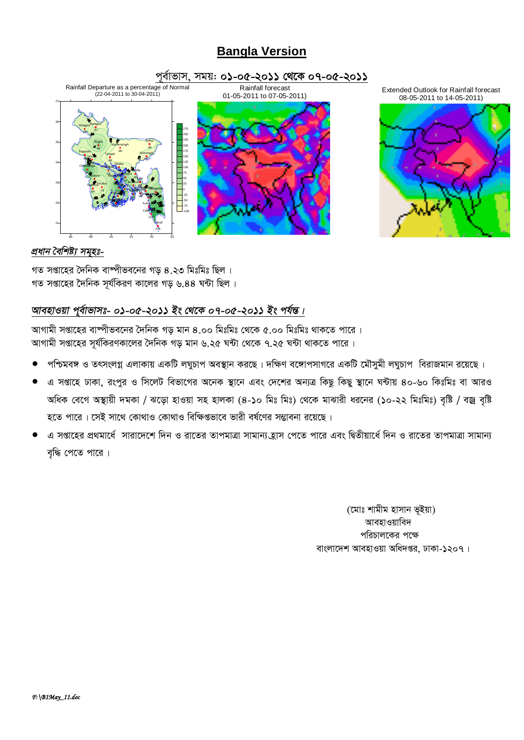# **Bangla Version**







## *প্ৰধান বৈশিষ্ট্য সমৃহঃ-*

গত সপ্তাহের দৈনিক বাম্পীভবনের গড ৪.২৩ মিঃমিঃ ছিল । গত সপ্তাহের দৈনিক সর্যকিরণ কালের গড় ৬.৪৪ ঘন্টা ছিল।

## *আবহাওয়া পূৰ্বাভাসঃ- ০১-০৫-২০১১ ইং থেকে ০৭-০৫-২০১১ ইং পৰ্যন্ত।*

আগামী সপ্তাহের বাম্পীভবনের দৈনিক গড় মান ৪.০০ মিঃমিঃ থেকে ৫.০০ মিঃমিঃ থাকতে পারে। আগামী সপ্তাহের সর্যকিরণকালের দৈনিক গড় মান ৬.২৫ ঘন্টা থেকে ৭.২৫ ঘন্টা থাকতে পারে।

- পশ্চিমবঙ্গ ও তৎসংলগ্ন এলাকায় একটি লঘুচাপ অবস্থান করছে। দক্ষিণ বঙ্গোপসাগরে একটি মৌসুমী লঘুচাপ বিরাজমান রয়েছে।
- এ সপ্তাহে ঢাকা, রংপুর ও সিলেট বিভাগের অনেক স্থানে এবং দেশের অন্যত্র কিছু কিছু স্থানে ঘন্টায় ৪০-৬০ কিঃমিঃ বা আরও অধিক বেগে অস্থায়ী দমকা / ঝড়ো হাওয়া সহ হালকা (৪-১০ মিঃ মিঃ) থেকে মাঝারী ধরনের (১০-২২ মিঃমিঃ) বৃষ্টি / বজ্র বৃষ্টি হতে পারে। সেই সাথে কোথাও কোথাও বিক্ষিপ্তভাবে ভারী বর্ষণের সম্ভাবনা রয়েছে।
- এ সপ্তাহের প্রথমার্ধে সারাদেশে দিন ও রাতের তাপমাত্রা সামান্য হ্রাস পেতে পারে এবং দ্বিতীয়ার্ধে দিন ও রাতের তাপমাত্রা সামান্য বৃদ্ধি পেতে পারে।

(মোঃ শামীম হাসান ভূইয়া) আবহাওয়াবিদ পরিচালকের পক্ষে বাংলাদেশ আবহাওয়া অধিদপ্তর, ঢাকা-১২০৭।